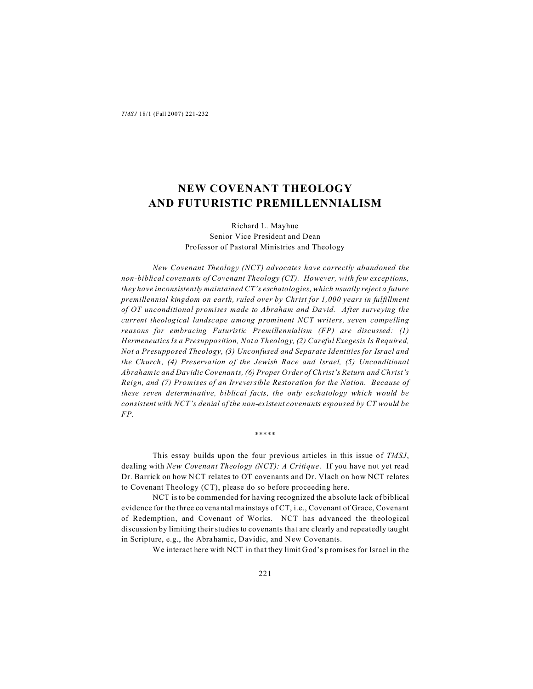# **NEW COVENANT THEOLOGY AND FUTURISTIC PREMILLENNIALISM**

# Richard L. Mayhue Senior Vice President and Dean Professor of Pastoral Ministries and Theology

*New Covenant Theology (NCT) advocates have correctly abandoned the non-biblical covenants of Covenant Theology (CT). However, with few exceptions, they have inconsistently maintained CT's eschatologies, which usually reject a future premillennial kingdom on earth, ruled over by Christ for 1,000 years in fulfillment of OT unconditional promises made to Abraham and David. After surveying the current theological landscape among prominent NCT writers, seven compelling reasons for embracing Futuristic Premillennialism (FP) are discussed: (1) Hermeneutics Is a Presupposition, Not a Theology, (2) Careful Exegesis Is Required, Not a Presupposed Theology, (3) Unconfused and Separate Identities for Israel and the Church, (4) Preservation of the Jewish Race and Israel, (5) Unconditional Abrahamic and Davidic Covenants, (6) Proper Order of Christ's Return and Christ's Reign, and (7) Promises of an Irreversible Restoration for the Nation. Because of these seven determinative, biblical facts, the only eschatology which would be consistent with NCT's denial of the non-existent covenants espoused by CT would be FP.*

This essay builds upon the four previous articles in this issue of *TMSJ*, dealing with *New Covenant Theology (NCT): A Critique*. If you have not yet read Dr. Barrick on how NCT relates to OT covenants and Dr. Vlach on how NCT relates to Covenant Theology (CT), please do so before proceeding here.

\*\*\*\*\*

NCT is to be commended for having recognized the absolute lack of biblical evidence for the three covenantal mainstays of CT, i.e., Covenant of Grace, Covenant of Redemption, and Covenant of Works. NCT has advanced the theological discussion by limiting their studies to covenants that are clearly and repeatedly taught in Scripture, e.g., the Abrahamic, Davidic, and New Covenants.

We interact here with NCT in that they limit God's promises for Israel in the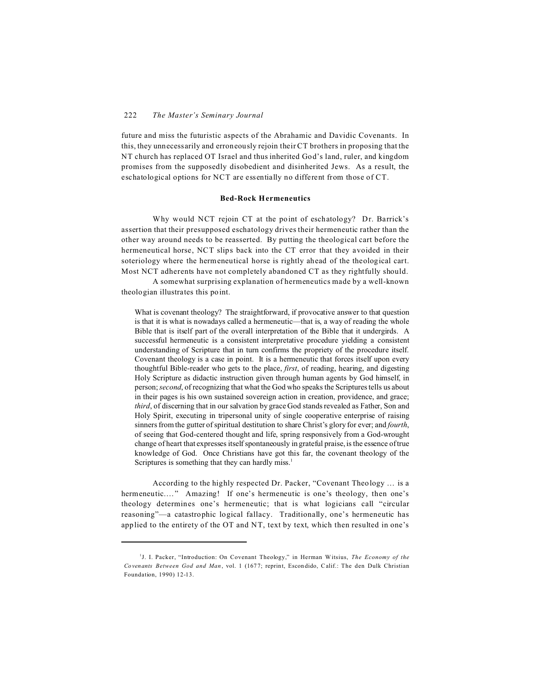future and miss the futuristic aspects of the Abrahamic and Davidic Covenants. In this, they unnecessarily and erroneously rejoin their CT brothers in proposing that the NT church has replaced OT Israel and thus inherited God's land, ruler, and kingdom promises from the supposedly disobedient and disinherited Jews. As a result, the eschatological options for NCT are essentially no different from those of CT.

#### **Bed-Rock Hermeneutics**

Why would NCT rejoin CT at the point of eschatology? Dr. Barrick's assertion that their presupposed eschatology drives their hermeneutic rather than the other way around needs to be reasserted. By putting the theological cart before the hermeneutical horse, NCT slips back into the CT error that they avoided in their soteriology where the hermeneutical horse is rightly ahead of the theological cart. Most NCT adherents have not completely abandoned CT as they rightfully should.

A somewhat surprising explanation of hermeneutics made by a well-known theologian illustrates this point.

What is covenant theology? The straightforward, if provocative answer to that question is that it is what is nowadays called a hermeneutic—that is, a way of reading the whole Bible that is itself part of the overall interpretation of the Bible that it undergirds. A successful hermeneutic is a consistent interpretative procedure yielding a consistent understanding of Scripture that in turn confirms the propriety of the procedure itself. Covenant theology is a case in point. It is a hermeneutic that forces itself upon every thoughtful Bible-reader who gets to the place, *first*, of reading, hearing, and digesting Holy Scripture as didactic instruction given through human agents by God himself, in person;*second*, of recognizing that what the God who speaks the Scriptures tells us about in their pages is his own sustained sovereign action in creation, providence, and grace; *third*, of discerning that in our salvation by grace God stands revealed as Father, Son and Holy Spirit, executing in tripersonal unity of single cooperative enterprise of raising sinners from the gutter of spiritual destitution to share Christ's glory for ever; and *fourth*, of seeing that God-centered thought and life, spring responsively from a God-wrought change of heart that expresses itself spontaneously in grateful praise, is the essence of true knowledge of God. Once Christians have got this far, the covenant theology of the Scriptures is something that they can hardly miss. $<sup>1</sup>$ </sup>

According to the highly respected Dr. Packer, "Covenant Theology … is a hermeneutic...." Amazing! If one's hermeneutic is one's theology, then one's theology determines one's hermeneutic; that is what logicians call "circular reasoning"—a catastrophic logical fallacy. Traditionally, one's hermeneutic has applied to the entirety of the OT and NT, text by text, which then resulted in one's

<sup>&</sup>lt;sup>1</sup>J. I. Packer, "Introduction: On Covenant Theology," in Herman Witsius, *The Economy of the Co venants Between God and Man*, vol. 1 (167 7; reprint, Escon dido, Calif.: The den Dulk Christian Foundation, 1990) 12-13.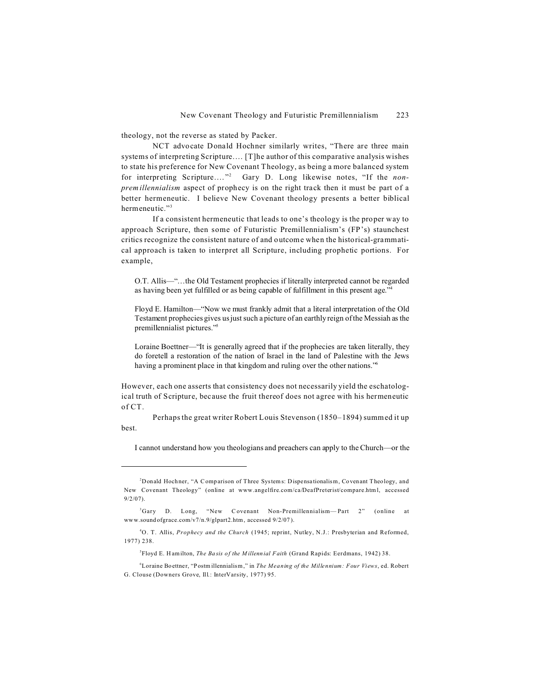theology, not the reverse as stated by Packer.

NCT advocate Donald Hochner similarly writes, "There are three main systems of interpreting Scripture.… [T]he author of this comparative analysis wishes to state his preference for New Covenant Theology, as being a more balanced system for interpreting Scripture.…" 2 Gary D. Long likewise notes, "If the *nonpremillennialism* aspect of prophecy is on the right track then it must be part of a better hermeneutic. I believe New Covenant theology presents a better biblical hermeneutic."<sup>3</sup>

If a consistent hermeneutic that leads to one's theology is the proper way to approach Scripture, then some of Futuristic Premillennialism's (FP's) staunchest critics recognize the consistent nature of and outcome when the historical-grammatical approach is taken to interpret all Scripture, including prophetic portions. For example,

O.T. Allis—"…the Old Testament prophecies if literally interpreted cannot be regarded as having been yet fulfilled or as being capable of fulfillment in this present age."<sup>4</sup>

Floyd E. Hamilton—"Now we must frankly admit that a literal interpretation of the Old Testament prophecies gives us just such a picture of an earthly reign of the Messiah as the premillennialist pictures."<sup>5</sup>

Loraine Boettner—"It is generally agreed that if the prophecies are taken literally, they do foretell a restoration of the nation of Israel in the land of Palestine with the Jews having a prominent place in that kingdom and ruling over the other nations."<sup>6</sup>

However, each one asserts that consistency does not necessarily yield the eschatological truth of Scripture, because the fruit thereof does not agree with his hermeneutic of CT.

Perhaps the great writer Robert Louis Stevenson (1850–1894) summed it up best.

I cannot understand how you theologians and preachers can apply to the Church—or the

5 Floyd E. H amilton, *The Ba sis of the M illennial Faith* (Grand Rapids: Eerdmans, 1942) 38.

<sup>6</sup>Loraine Boettner, "Postm illennialism," in *The Meaning of the Millennium: Four Views*, ed. Robert G. Clouse (Downers Grove, Ill.: InterVarsity, 1977) 95.

<sup>&</sup>lt;sup>2</sup>Donald Hochner, "A Comparison of Three Systems: Dispensationalism, Covenant Theology, and New Covenant Theology" (online at www.angelfire.com/ca/DeafPreterist/compare.html, accessed 9/2/07).

<sup>3</sup>Gary D. Long, "New Covenant Non-Premillennialism— Part 2" (online at www.sound ofgrace.com/v7/n.9/glpart2.htm, accessed 9/2/07 ).

<sup>4</sup>O. T. Allis, *Prophecy and the Church* (1945; reprint, Nutley, N.J.: Presbyterian and Reformed, 1977) 238.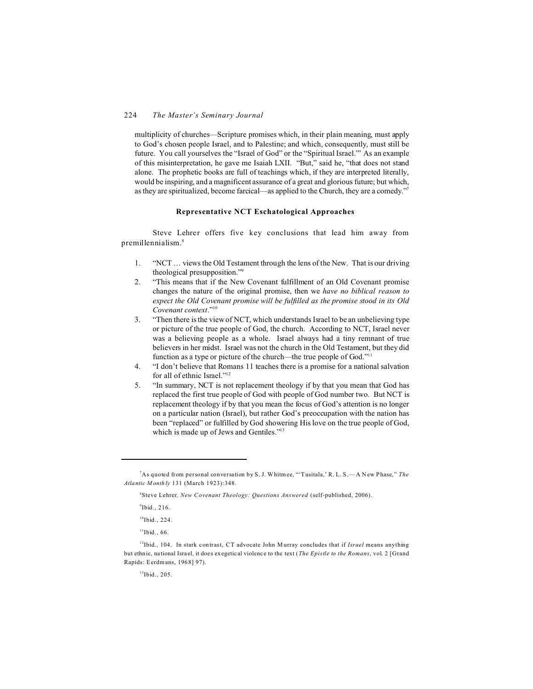# 224 *The Master's Seminary Journal*

multiplicity of churches—Scripture promises which, in their plain meaning, must apply to God's chosen people Israel, and to Palestine; and which, consequently, must still be future. You call yourselves the "Israel of God" or the "Spiritual Israel."' As an example of this misinterpretation, he gave me Isaiah LXII. "But," said he, "that does not stand alone. The prophetic books are full of teachings which, if they are interpreted literally, would be inspiring, and a magnificent assurance of a great and glorious future; but which, as they are spiritualized, become farcical—as applied to the Church, they are a comedy."<sup>7</sup>

# **Representative NCT Eschatological Approaches**

Steve Lehrer offers five key conclusions that lead him away from premillennialism.<sup>8</sup>

- 1. "NCT … views the Old Testament through the lens of the New. That is our driving theological presupposition."<sup>9</sup>
- 2. "This means that if the New Covenant fulfillment of an Old Covenant promise changes the nature of the original promise, then we *have no biblical reason to expect the Old Covenant promise will be fulfilled as the promise stood in its Old Covenant context*."<sup>10</sup>
- 3. "Then there is the view of NCT, which understands Israel to be an unbelieving type or picture of the true people of God, the church. According to NCT, Israel never was a believing people as a whole. Israel always had a tiny remnant of true believers in her midst. Israel was not the church in the Old Testament, but they did function as a type or picture of the church—the true people of God."<sup>11</sup>
- 4. "I don't believe that Romans 11 teaches there is a promise for a national salvation for all of ethnic Israel."<sup>12</sup>
- 5. "In summary, NCT is not replacement theology if by that you mean that God has replaced the first true people of God with people of God number two. But NCT is replacement theology if by that you mean the focus of God's attention is no longer on a particular nation (Israel), but rather God's preoccupation with the nation has been "replaced" or fulfilled by God showering His love on the true people of God, which is made up of Jews and Gentiles."<sup>13</sup>

 $\mathrm{^9}$ Ibid., 216.

 $10$ Ibid., 224.

 $11$ Ibid., 66.

<sup>13</sup>Ibid., 205.

<sup>7</sup>As quoted from personal conversation by S. J. Whitmee, "'Tusitala,' R. L. S .—A N ew P hase," *The Atlantic M onth ly* 131 (March 1923):348.

<sup>8</sup> Steve Lehrer*, New Covenant Theology: Questions Answered* (self-published, 2006).

<sup>&</sup>lt;sup>12</sup>Ibid., 104. In stark contrast, CT advocate John M urray concludes that if *Israel* means anything but ethnic, na tional Isra el, it doe s exegetic al violenc e to the text (*The Epistle to the Romans*, vol. 2 [Grand Rapids: Eerdmans, 1968] 97).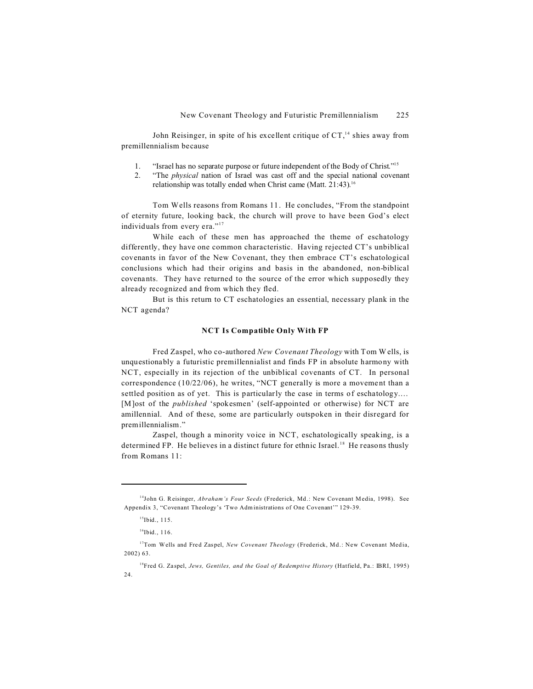John Reisinger, in spite of his excellent critique of  $CT<sup>14</sup>$  shies away from premillennialism because

- 1. "Israel has no separate purpose or future independent of the Body of Christ."<sup>15</sup>
- 2. "The *physical* nation of Israel was cast off and the special national covenant relationship was totally ended when Christ came (Matt. 21:43). 16

Tom Wells reasons from Romans 11. He concludes, "From the standpoint of eternity future, looking back, the church will prove to have been God's elect individuals from every era."<sup>17</sup>

While each of these men has approached the theme of eschatology differently, they have one common characteristic. Having rejected CT's unbiblical covenants in favor of the New Covenant, they then embrace CT's eschatological conclusions which had their origins and basis in the abandoned, non-biblical covenants. They have returned to the source of the error which supposedly they already recognized and from which they fled.

But is this return to CT eschatologies an essential, necessary plank in the NCT agenda?

#### **NCT Is Compatible Only With FP**

Fred Zaspel, who co-authored *New Covenant Theology* with Tom W ells, is unquestionably a futuristic premillennialist and finds FP in absolute harmony with NCT, especially in its rejection of the unbiblical covenants of CT. In personal correspondence (10/22/06), he writes, "NCT generally is more a movement than a settled position as of yet. This is particularly the case in terms of eschatology.… [M]ost of the *published* 'spokesmen' (self-appointed or otherwise) for NCT are amillennial. And of these, some are particularly outspoken in their disregard for premillennialism."

Zaspel, though a minority voice in NCT, eschatologically speaking, is a determined FP. He believes in a distinct future for ethnic Israel.<sup>18</sup> He reasons thusly from Romans 11:

<sup>14</sup>John G. Reisinger, *Abraham's Four Seeds* (Frederick, Md .: New Covenant Media, 1998). See Appendix 3, "Covenant Theology's 'Two Administrations of One Covenant'" 129-39.

<sup>&</sup>lt;sup>15</sup>Ibid., 115.

 $16$ Ibid., 116.

<sup>&</sup>lt;sup>17</sup>Tom Wells and Fred Zaspel, *New Covenant Theology* (Frederick, Md.: New Covenant Media, 2002) 63.

<sup>18</sup>Fred G. Za spel, *Jews, Gentiles, and the Goal of Redemptive History* (Hatfield, Pa.: IBRI, 1995)  $24.$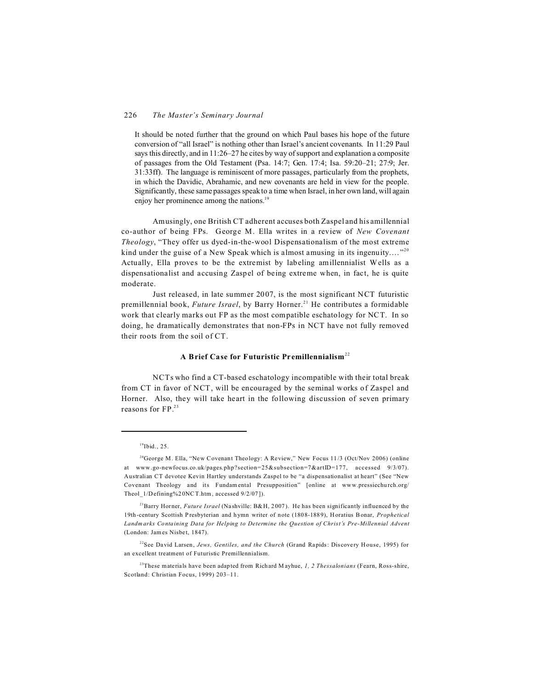## 226 *The Master's Seminary Journal*

It should be noted further that the ground on which Paul bases his hope of the future conversion of "all Israel" is nothing other than Israel's ancient covenants. In 11:29 Paul says this directly, and in 11:26–27 he cites by way of support and explanation a composite of passages from the Old Testament (Psa. 14:7; Gen. 17:4; Isa. 59:20–21; 27:9; Jer. 31:33ff). The language is reminiscent of more passages, particularly from the prophets, in which the Davidic, Abrahamic, and new covenants are held in view for the people. Significantly, these same passages speak to a time when Israel, in her own land, will again enjoy her prominence among the nations.<sup>19</sup>

Amusingly, one British CT adherent accuses both Zaspel and his amillennial co-author of being FPs. George M. Ella writes in a review of *New Covenant Theology*, "They offer us dyed-in-the-wool Dispensationalism of the most extreme kind under the guise of a New Speak which is almost amusing in its ingenuity...."<sup>20</sup> Actually, Ella proves to be the extremist by labeling amillennialist Wells as a dispensationalist and accusing Zaspel of being extreme when, in fact, he is quite moderate.

Just released, in late summer 2007, is the most significant NCT futuristic premillennial book, *Future Israel*, by Barry Horner.<sup>21</sup> He contributes a formidable work that clearly marks out FP as the most compatible eschatology for NCT. In so doing, he dramatically demonstrates that non-FPs in NCT have not fully removed their roots from the soil of CT.

# **A Brief Case for Futuristic Premillennialism**<sup>22</sup>

NCTs who find a CT-based eschatology incompatible with their total break from CT in favor of NCT, will be encouraged by the seminal works of Zaspel and Horner. Also, they will take heart in the following discussion of seven primary reasons for FP.23

<sup>21</sup>Barry Horner, *Future Israel* (Nashville: B&H, 2007). He has been significantly influenced by the 19th-century Scottish P resbyterian and h ymn writer of note (180 8-188 9), Horatius Bonar, *Prophetical Landm arks Co ntaining Data for Helping to Determine the Question of Christ's Pre-Millennial Advent* (London: James Nisbet, 1847).

<sup>22</sup>See David Larsen, *Jews, Gentiles, and the Church* (Grand Rapids: Discovery House, 1995) for an excellent treatment of Futuristic Premillennialism.

<sup>23</sup>These materials have been adapted from Richard M ayhue, *1, 2 Thessalonians* (Fearn, Ross-shire, Scotland: Christian Focus, 1999) 203–11.

<sup>&</sup>lt;sup>19</sup>Ibid., 25.

<sup>&</sup>lt;sup>20</sup>George M. Ella, "New Covenant Theology: A Review," New Focus  $11/3$  (Oct/Nov 2006) (online at www.go-newfocus.co.uk/pages.php?section=25&subsection=7&artID=177, accessed 9/3/07). Australian CT devotee Kevin Hartley understands Zaspel to be "a dispensationalist at heart" (See "New Covenant Theology and its Fundam ental Presupposition" [online at www.pressiechurch.org/ Theol\_1/Defining%2 0NCT.htm, accessed 9/2/07 ]).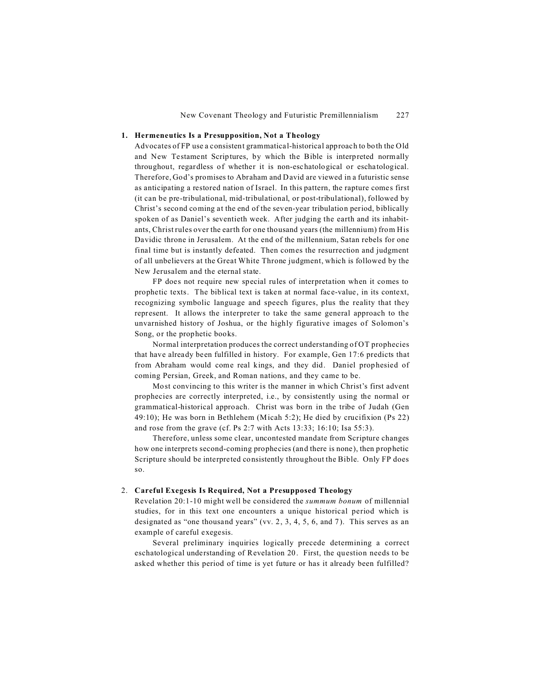### **1. Hermeneutics Is a Presupposition, Not a Theology**

Advocates of FP use a consistent grammatical-historical approach to both the Old and New Testament Scriptures, by which the Bible is interpreted normally throughout, regardless of whether it is non-eschatological or eschatological. Therefore, God's promises to Abraham and David are viewed in a futuristic sense as anticipating a restored nation of Israel. In this pattern, the rapture comes first (it can be pre-tribulational, mid-tribulational, or post-tribulational), followed by Christ's second coming at the end of the seven-year tribulation period, biblically spoken of as Daniel's seventieth week. After judging the earth and its inhabitants, Christ rules over the earth for one thousand years (the millennium) from His Davidic throne in Jerusalem. At the end of the millennium, Satan rebels for one final time but is instantly defeated. Then comes the resurrection and judgment of all unbelievers at the Great White Throne judgment, which is followed by the New Jerusalem and the eternal state.

FP does not require new special rules of interpretation when it comes to prophetic texts. The biblical text is taken at normal face-value, in its context, recognizing symbolic language and speech figures, plus the reality that they represent. It allows the interpreter to take the same general approach to the unvarnished history of Joshua, or the highly figurative images of Solomon's Song, or the prophetic books.

Normal interpretation produces the correct understanding of OT prophecies that have already been fulfilled in history. For example, Gen 17:6 predicts that from Abraham would come real kings, and they did. Daniel prop hesied of coming Persian, Greek, and Roman nations, and they came to be.

Most convincing to this writer is the manner in which Christ's first advent prophecies are correctly interpreted, i.e., by consistently using the normal or grammatical-historical approach. Christ was born in the tribe of Judah (Gen 49:10); He was born in Bethlehem (Micah 5:2); He died by crucifixion (Ps 22) and rose from the grave (cf. Ps 2:7 with Acts 13:33; 16:10; Isa 55:3).

Therefore, unless some clear, uncontested mandate from Scripture changes how one interprets second-coming prophecies (and there is none), then prophetic Scripture should be interpreted consistently throughout the Bible. Only FP does so.

#### 2. **Careful Exegesis Is Required, Not a Presupposed Theology**

Revelation 20:1-10 might well be considered the *summum bonum* of millennial studies, for in this text one encounters a unique historical period which is designated as "one thousand years" (vv. 2, 3, 4, 5, 6, and 7). This serves as an example of careful exegesis.

Several preliminary inquiries logically precede determining a correct eschatological understanding of Revelation 20. First, the question needs to be asked whether this period of time is yet future or has it already been fulfilled?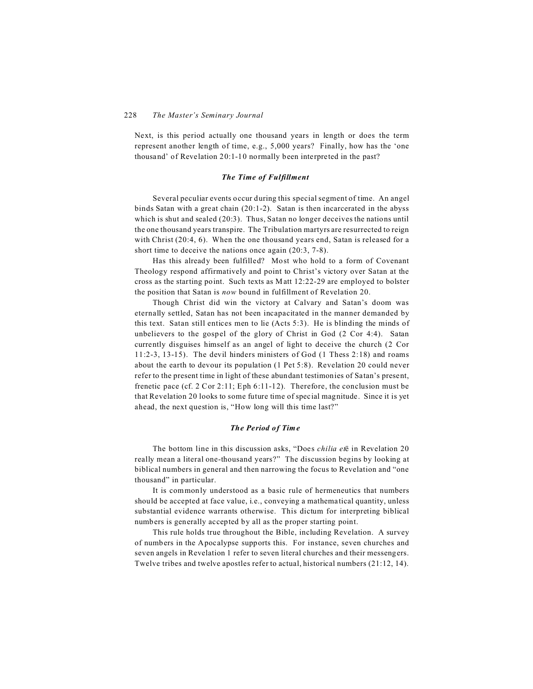Next, is this period actually one thousand years in length or does the term represent another length of time, e.g., 5,000 years? Finally, how has the 'one thousand' of Revelation 20:1-10 normally been interpreted in the past?

#### *The Time of Fulfillment*

Several peculiar events occur during this special segment of time. An angel binds Satan with a great chain (20:1-2). Satan is then incarcerated in the abyss which is shut and sealed (20:3). Thus, Satan no longer deceives the nations until the one thousand years transpire. The Tribulation martyrs are resurrected to reign with Christ (20:4, 6). When the one thousand years end, Satan is released for a short time to deceive the nations once again (20:3, 7-8).

Has this already been fulfilled? Most who hold to a form of Covenant Theology respond affirmatively and point to Christ's victory over Satan at the cross as the starting point. Such texts as Matt 12:22-29 are employed to bolster the position that Satan is *now* bound in fulfillment of Revelation 20.

Though Christ did win the victory at Calvary and Satan's doom was eternally settled, Satan has not been incapacitated in the manner demanded by this text. Satan still entices men to lie (Acts 5:3). He is blinding the minds of unbelievers to the gospel of the glory of Christ in God (2 Cor 4:4). Satan currently disguises himself as an angel of light to deceive the church (2 Cor 11:2-3, 13-15). The devil hinders ministers of God (1 Thess 2:18) and roams about the earth to devour its population (1 Pet 5:8). Revelation 20 could never refer to the present time in light of these abundant testimonies of Satan's present, frenetic pace (cf. 2 Cor 2:11; Eph 6:11-12). Therefore, the conclusion must be that Revelation 20 looks to some future time of special magnitude. Since it is yet ahead, the next question is, "How long will this time last?"

#### *The Period of Time*

The bottom line in this discussion asks, "Does *chilia et* in Revelation 20 really mean a literal one-thousand years?" The discussion begins by looking at biblical numbers in general and then narrowing the focus to Revelation and "one thousand" in particular.

It is commonly understood as a basic rule of hermeneutics that numbers should be accepted at face value, i.e., conveying a mathematical quantity, unless substantial evidence warrants otherwise. This dictum for interpreting biblical numbers is generally accepted by all as the proper starting point.

This rule holds true throughout the Bible, including Revelation. A survey of numbers in the Apocalypse supports this. For instance, seven churches and seven angels in Revelation 1 refer to seven literal churches and their messengers. Twelve tribes and twelve apostles refer to actual, historical numbers (21:12, 14).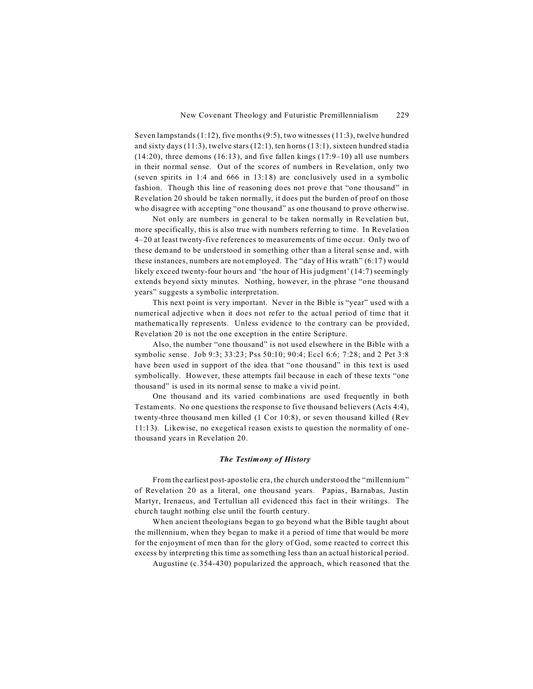Seven lampstands (1:12), five months (9:5), two witnesses (11:3), twelve hundred and sixty days (11:3), twelve stars (12:1), ten horns (13:1), sixteen hundred stadia (14:20), three demons (16:13), and five fallen kings (17:9–10) all use numbers in their normal sense. Out of the scores of numbers in Revelation, only two (seven spirits in 1:4 and 666 in 13:18) are conclusively used in a symbolic fashion. Though this line of reasoning does not prove that "one thousand" in Revelation 20 should be taken normally, it does put the burden of proof on those who disagree with accepting "one thousand" as one thousand to prove otherwise.

Not only are numbers in general to be taken normally in Revelation but, more specifically, this is also true with numbers referring to time. In Revelation 4–20 at least twenty-five references to measurements of time occur. Only two of these demand to be understood in something other than a literal sense and, with these instances, numbers are not employed. The "day of His wrath" (6:17) would likely exceed twenty-four hours and 'the hour of His judgment' (14:7) seemingly extends beyond sixty minutes. Nothing, however, in the phrase "one thousand years" suggests a symbolic interpretation.

This next point is very important. Never in the Bible is "year" used with a numerical adjective when it does not refer to the actual period of time that it mathematica lly represents. Unless evidence to the contrary can be provided, Revelation 20 is not the one exception in the entire Scripture.

Also, the number "one thousand" is not used elsewhere in the Bible with a symbolic sense. Job 9:3; 33:23; Pss 50:10; 90:4; Eccl 6:6; 7:28; and 2 Pet 3:8 have been used in support of the idea that "one thousand" in this text is used symbolically. However, these attempts fail because in each of these texts "one thousand" is used in its normal sense to make a vivid point.

One thousand and its varied combinations are used frequently in both Testaments. No one questions the response to five thousand believers (Acts 4:4), twenty-three thousand men killed (1 Cor 10:8), or seven thousand killed (Rev 11:13). Likewise, no exegetical reason exists to question the normality of onethousand years in Revelation 20.

#### *The Testimony of History*

From the earliest post-apostolic era, the church understood the "millennium" of Revelation 20 as a literal, one thousand years. Papias, Barnabas, Justin Martyr, Irenaeus, and Tertullian all evidenced this fact in their writings. The church taught nothing else until the fourth century.

When ancient theologians began to go beyond what the Bible taught about the millennium, when they began to make it a period of time that would be more for the enjoyment of men than for the glory of God, some reacted to correct this excess by interpreting this time as something less than an actual historical period.

Augustine (c.354-430) popularized the approach, which reasoned that the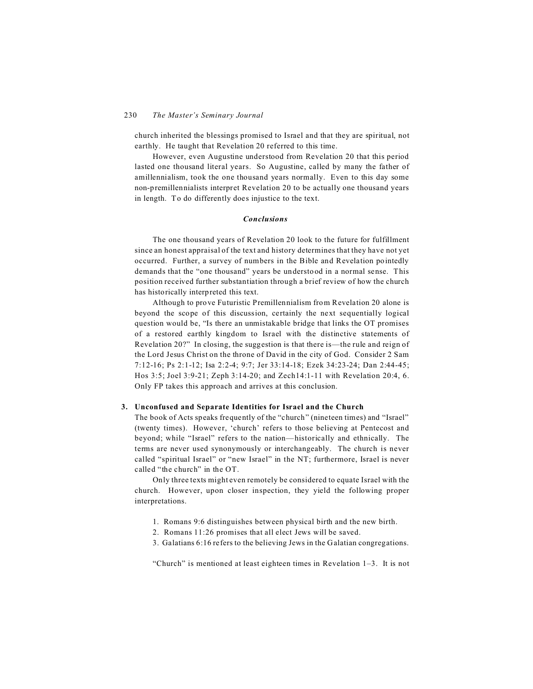church inherited the blessings promised to Israel and that they are spiritual, not earthly. He taught that Revelation 20 referred to this time.

However, even Augustine understood from Revelation 20 that this period lasted one thousand literal years. So Augustine, called by many the father of amillennialism, took the one thousand years normally. Even to this day some non-premillennialists interpret Revelation 20 to be actually one thousand years in length. To do differently does injustice to the text.

# *Conclusions*

The one thousand years of Revelation 20 look to the future for fulfillment since an honest appraisal of the text and history determines that they have not yet occurred. Further, a survey of numbers in the Bible and Revelation pointedly demands that the "one thousand" years be understood in a normal sense. This position received further substantiation through a brief review of how the church has historically interpreted this text.

Although to prove Futuristic Premillennialism from Revelation 20 alone is beyond the scope of this discussion, certainly the next sequentially logical question would be, "Is there an unmistakable bridge that links the OT promises of a restored earthly kingdom to Israel with the distinctive statements of Revelation 20?" In closing, the suggestion is that there is—the rule and reign of the Lord Jesus Christ on the throne of David in the city of God. Consider 2 Sam 7:12-16; Ps 2:1-12; Isa 2:2-4; 9:7; Jer 33:14-18; Ezek 34:23-24; Dan 2:44-45; Hos 3:5; Joel 3:9-21; Zeph 3:14-20; and Zech14:1-11 with Revelation 20:4, 6. Only FP takes this approach and arrives at this conclusion.

# **3. Unconfused and Separate Identities for Israel and the Church**

The book of Acts speaks frequently of the "church" (nineteen times) and "Israel" (twenty times). However, 'church' refers to those believing at Pentecost and beyond; while "Israel" refers to the nation—historically and ethnically. The terms are never used synonymously or interchangeably. The church is never called "spiritual Israel" or "new Israel" in the NT; furthermore, Israel is never called "the church" in the OT.

Only three texts might even remotely be considered to equate Israel with the church. However, upon closer inspection, they yield the following proper interpretations.

- 1. Romans 9:6 distinguishes between physical birth and the new birth.
- 2. Romans 11:26 promises that all elect Jews will be saved.
- 3. Galatians 6:16 refers to the believing Jews in the Galatian congregations.

"Church" is mentioned at least eighteen times in Revelation 1–3. It is not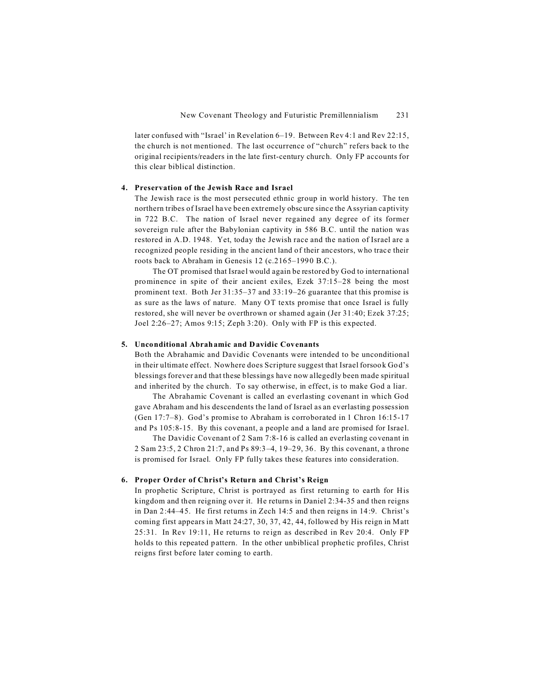later confused with "Israel' in Revelation 6–19. Between Rev 4:1 and Rev 22:15, the church is not mentioned. The last occurrence of "church" refers back to the original recipients/readers in the late first-century church. Only FP accounts for this clear biblical distinction.

# **4. Preservation of the Jewish Race and Israel**

The Jewish race is the most persecuted ethnic group in world history. The ten northern tribes of Israel have been extremely obscure since the Assyrian captivity in 722 B.C. The nation of Israel never regained any degree of its former sovereign rule after the Babylonian captivity in 586 B.C. until the nation was restored in A.D. 1948. Yet, today the Jewish race and the nation of Israel are a recognized people residing in the ancient land of their ancestors, who trace their roots back to Abraham in Genesis 12 (c.2165–1990 B.C.).

The OT promised that Israel would again be restored by God to international prominence in spite of their ancient exiles, Ezek 37:15–28 being the most prominent text. Both Jer 31:35–37 and 33:19–26 guarantee that this promise is as sure as the laws of nature. Many OT texts promise that once Israel is fully restored, she will never be overthrown or shamed again (Jer 31:40; Ezek 37:25; Joel 2:26–27; Amos 9:15; Zeph 3:20). Only with FP is this expected.

# **5. Unconditional Abrahamic and Davidic Covenants**

Both the Abrahamic and Davidic Covenants were intended to be unconditional in their ultimate effect. Nowhere does Scripture suggest that Israel forsook God's blessings forever and that these blessings have now allegedly been made spiritual and inherited by the church. To say otherwise, in effect, is to make God a liar.

The Abrahamic Covenant is called an everlasting covenant in which God gave Abraham and his descendents the land of Israel as an everlasting possession (Gen 17:7–8). God's promise to Abraham is corroborated in 1 Chron 16:15-17 and Ps 105:8-15. By this covenant, a people and a land are promised for Israel.

The Davidic Covenant of 2 Sam 7:8-16 is called an everlasting covenant in 2 Sam 23:5, 2 Chron 21:7, and Ps 89:3–4, 19–29, 36. By this covenant, a throne is promised for Israel. Only FP fully takes these features into consideration.

#### **6. Proper Order of Christ's Return and Christ's Reign**

In prophetic Scripture, Christ is portrayed as first returning to earth for His kingdom and then reigning over it. He returns in Daniel 2:34-35 and then reigns in Dan 2:44–45. He first returns in Zech 14:5 and then reigns in 14:9. Christ's coming first appears in Matt 24:27, 30, 37, 42, 44, followed by His reign in Matt 25:31. In Rev 19:11, He returns to reign as described in Rev 20:4. Only FP holds to this repeated pattern. In the other unbiblical prophetic profiles, Christ reigns first before later coming to earth.